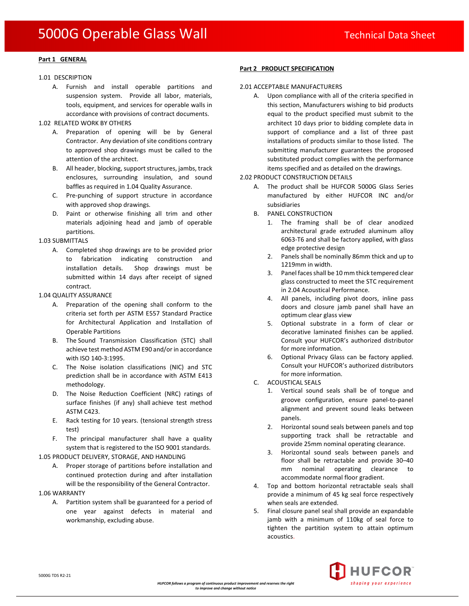## **Part 1 GENERAL**

### 1.01 DESCRIPTION

A. Furnish and install operable partitions and suspension system. Provide all labor, materials, tools, equipment, and services for operable walls in accordance with provisions of contract documents.

### 1.02 RELATED WORK BY OTHERS

- A. Preparation of opening will be by General Contractor. Any deviation of site conditions contrary to approved shop drawings must be called to the attention of the architect.
- B. All header, blocking, support structures, jambs, track enclosures, surrounding insulation, and sound baffles as required in 1.04 Quality Assurance.
- C. Pre-punching of support structure in accordance with approved shop drawings.
- D. Paint or otherwise finishing all trim and other materials adjoining head and jamb of operable partitions.

## 1.03 SUBMITTALS

A. Completed shop drawings are to be provided prior to fabrication indicating construction and installation details. Shop drawings must be submitted within 14 days after receipt of signed contract.

### 1.04 QUALITY ASSURANCE

- A. Preparation of the opening shall conform to the criteria set forth per ASTM E557 Standard Practice for Architectural Application and Installation of Operable Partitions
- B. The Sound Transmission Classification (STC) shall achieve test method ASTM E90 and/or in accordance with ISO 140-3:1995.
- C. The Noise isolation classifications (NIC) and STC prediction shall be in accordance with ASTM E413 methodology.
- D. The Noise Reduction Coefficient (NRC) ratings of surface finishes (if any) shall achieve test method ASTM C423.
- E. Rack testing for 10 years. (tensional strength stress test)
- F. The principal manufacturer shall have a quality system that is registered to the ISO 9001 standards.

1.05 PRODUCT DELIVERY, STORAGE, AND HANDLING

A. Proper storage of partitions before installation and continued protection during and after installation will be the responsibility of the General Contractor.

## 1.06 WARRANTY

A. Partition system shall be guaranteed for a period of one year against defects in material and workmanship, excluding abuse.

## **Part 2 PRODUCT SPECIFICATION**

## 2.01 ACCEPTABLE MANUFACTURERS

A. Upon compliance with all of the criteria specified in this section, Manufacturers wishing to bid products equal to the product specified must submit to the architect 10 days prior to bidding complete data in support of compliance and a list of three past installations of products similar to those listed. The submitting manufacturer guarantees the proposed substituted product complies with the performance items specified and as detailed on the drawings.

## 2.02 PRODUCT CONSTRUCTION DETAILS

- A. The product shall be HUFCOR 5000G Glass Series manufactured by either HUFCOR INC and/or subsidiaries
- B. PANEL CONSTRUCTION
	- 1. The framing shall be of clear anodized architectural grade extruded aluminum alloy 6063-T6 and shall be factory applied, with glass edge protective design
	- 2. Panels shall be nominally 86mm thick and up to 1219mm in width.
	- 3. Panel faces shall be 10 mm thick tempered clear glass constructed to meet the STC requirement in 2.04 Acoustical Performance.
	- 4. All panels, including pivot doors, inline pass doors and closure jamb panel shall have an optimum clear glass view
	- 5. Optional substrate in a form of clear or decorative laminated finishes can be applied. Consult your HUFCOR's authorized distributor for more information.
	- 6. Optional Privacy Glass can be factory applied. Consult your HUFCOR's authorized distributors for more information.
- C. ACOUSTICAL SEALS
	- 1. Vertical sound seals shall be of tongue and groove configuration, ensure panel-to-panel alignment and prevent sound leaks between panels.
	- 2. Horizontal sound seals between panels and top supporting track shall be retractable and provide 25mm nominal operating clearance.
	- 3. Horizontal sound seals between panels and floor shall be retractable and provide 30–40 mm nominal operating clearance to accommodate normal floor gradient.
- 4. Top and bottom horizontal retractable seals shall provide a minimum of 45 kg seal force respectively when seals are extended.
- 5. Final closure panel seal shall provide an expandable jamb with a minimum of 110kg of seal force to tighten the partition system to attain optimum acoustics.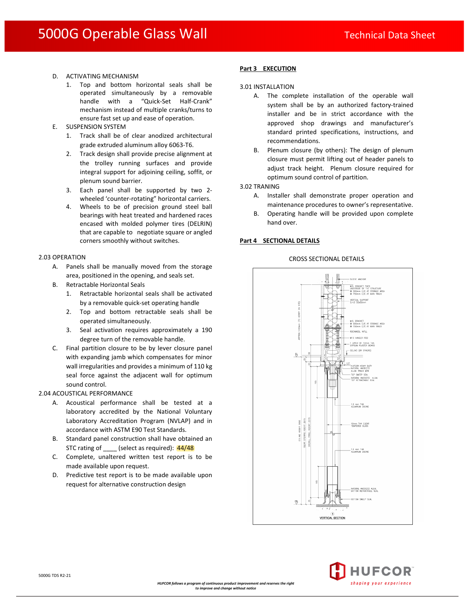- D. ACTIVATING MECHANISM
	- 1. Top and bottom horizontal seals shall be operated simultaneously by a removable handle with a "Quick-Set Half-Crank" mechanism instead of multiple cranks/turns to ensure fast set up and ease of operation.
- E. SUSPENSION SYSTEM
	- 1. Track shall be of clear anodized architectural grade extruded aluminum alloy 6063-T6.
	- 2. Track design shall provide precise alignment at the trolley running surfaces and provide integral support for adjoining ceiling, soffit, or plenum sound barrier.
	- 3. Each panel shall be supported by two 2 wheeled 'counter-rotating" horizontal carriers.
	- 4. Wheels to be of precision ground steel ball bearings with heat treated and hardened races encased with molded polymer tires (DELRIN) that are capable to negotiate square or angled corners smoothly without switches.

## 2.03 OPERATION

- A. Panels shall be manually moved from the storage area, positioned in the opening, and seals set.
- B. Retractable Horizontal Seals
	- 1. Retractable horizontal seals shall be activated by a removable quick-set operating handle
	- 2. Top and bottom retractable seals shall be operated simultaneously.
	- 3. Seal activation requires approximately a 190 degree turn of the removable handle.
- C. Final partition closure to be by lever closure panel with expanding jamb which compensates for minor wall irregularities and provides a minimum of 110 kg seal force against the adjacent wall for optimum sound control.

#### 2.04 ACOUSTICAL PERFORMANCE

- A. Acoustical performance shall be tested at a laboratory accredited by the National Voluntary Laboratory Accreditation Program (NVLAP) and in accordance with ASTM E90 Test Standards.
- B. Standard panel construction shall have obtained an STC rating of (select as required):  $\frac{44}{48}$
- C. Complete, unaltered written test report is to be made available upon request.
- D. Predictive test report is to be made available upon request for alternative construction design

## **Part 3 EXECUTION**

#### 3.01 INSTALLATION

- A. The complete installation of the operable wall system shall be by an authorized factory-trained installer and be in strict accordance with the approved shop drawings and manufacturer's standard printed specifications, instructions, and recommendations.
- B. Plenum closure (by others): The design of plenum closure must permit lifting out of header panels to adjust track height. Plenum closure required for optimum sound control of partition.

3.02 TRANING

- A. Installer shall demonstrate proper operation and maintenance procedures to owner's representative.
- B. Operating handle will be provided upon complete hand over.

## **Part 4 SECTIONAL DETAILS**



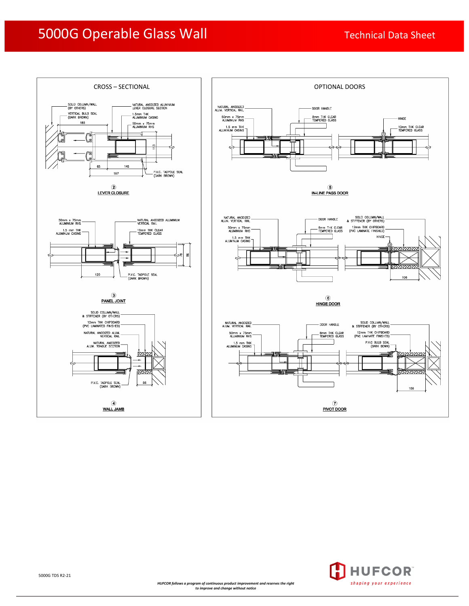## 5000G Operable Glass Wall Technical Data Sheet





5000G TDS R2-21